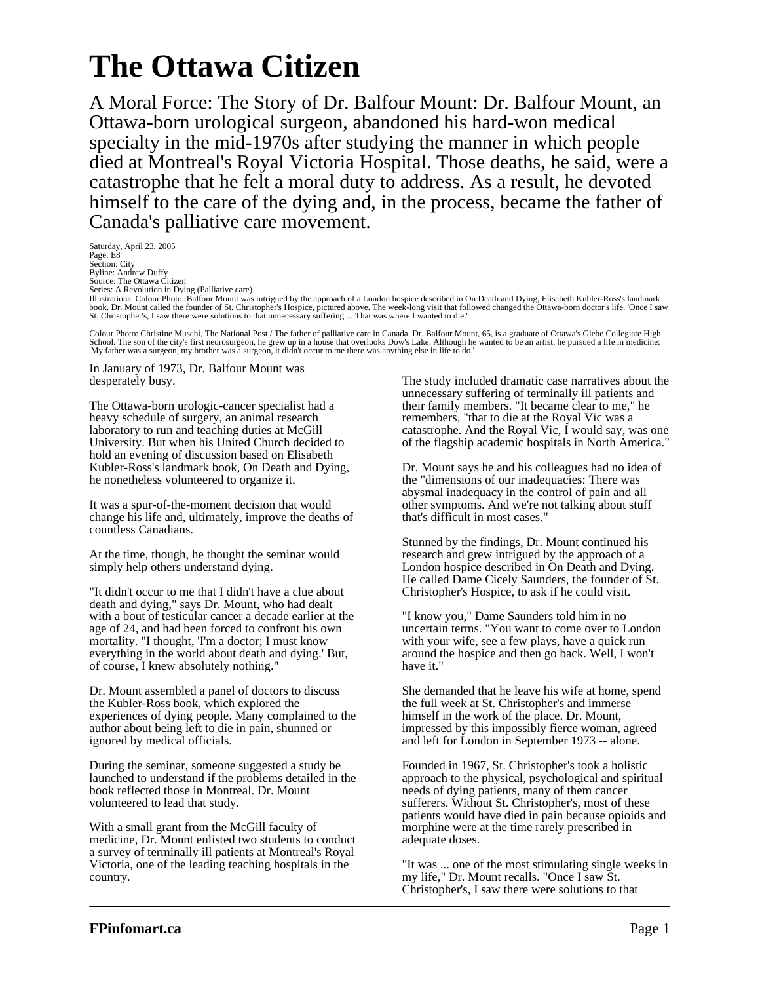## **The Ottawa Citizen**

A Moral Force: The Story of Dr. Balfour Mount: Dr. Balfour Mount, an Ottawa-born urological surgeon, abandoned his hard-won medical specialty in the mid-1970s after studying the manner in which people died at Montreal's Royal Victoria Hospital. Those deaths, he said, were a catastrophe that he felt a moral duty to address. As a result, he devoted himself to the care of the dying and, in the process, became the father of Canada's palliative care movement.

Saturday, April 23, 2005 Page: E8 Section: City Byline: Andrew Duffy Source: The Ottawa Citizen Series: A Revolution in Dying (Palliative care)<br>Illustrations: Colour Photo: Balfour Mount was intrigued by the approach of a London hospice described in On Death and Dying, Elisabeth Kubler-Ross's landmark<br>book. Dr. Mount St. Christopher's, I saw there were solutions to that unnecessary suffering ... That was where I wanted to die.'

Colour Photo: Christine Muschi, The National Post / The father of palliative care in Canada, Dr. Balfour Mount, 65, is a graduate of Ottawa's Glebe Collegiate High School. The son of the city's first neurosurgeon, he grew up in a house that overlooks Dow's Lake. Although he wanted to be an artist, he pursued a life in medicine:<br>'My father was a surgeon, my brother was a surgeon, it d

In January of 1973, Dr. Balfour Mount was desperately busy.

The Ottawa-born urologic-cancer specialist had a heavy schedule of surgery, an animal research laboratory to run and teaching duties at McGill University. But when his United Church decided to hold an evening of discussion based on Elisabeth Kubler-Ross's landmark book, On Death and Dying, he nonetheless volunteered to organize it.

It was a spur-of-the-moment decision that would change his life and, ultimately, improve the deaths of countless Canadians.

At the time, though, he thought the seminar would simply help others understand dying.

"It didn't occur to me that I didn't have a clue about death and dying," says Dr. Mount, who had dealt with a bout of testicular cancer a decade earlier at the age of 24, and had been forced to confront his own mortality. "I thought, 'I'm a doctor; I must know everything in the world about death and dying.' But, of course, I knew absolutely nothing."

Dr. Mount assembled a panel of doctors to discuss the Kubler-Ross book, which explored the experiences of dying people. Many complained to the author about being left to die in pain, shunned or ignored by medical officials.

During the seminar, someone suggested a study be launched to understand if the problems detailed in the book reflected those in Montreal. Dr. Mount volunteered to lead that study.

With a small grant from the McGill faculty of medicine, Dr. Mount enlisted two students to conduct a survey of terminally ill patients at Montreal's Royal Victoria, one of the leading teaching hospitals in the country.

The study included dramatic case narratives about the unnecessary suffering of terminally ill patients and their family members. "It became clear to me," he remembers, "that to die at the Royal Vic was a catastrophe. And the Royal Vic, I would say, was one of the flagship academic hospitals in North America."

Dr. Mount says he and his colleagues had no idea of the "dimensions of our inadequacies: There was abysmal inadequacy in the control of pain and all other symptoms. And we're not talking about stuff that's difficult in most cases."

Stunned by the findings, Dr. Mount continued his research and grew intrigued by the approach of a London hospice described in On Death and Dying. He called Dame Cicely Saunders, the founder of St. Christopher's Hospice, to ask if he could visit.

"I know you," Dame Saunders told him in no uncertain terms. "You want to come over to London with your wife, see a few plays, have a quick run around the hospice and then go back. Well, I won't have it."

She demanded that he leave his wife at home, spend the full week at St. Christopher's and immerse himself in the work of the place. Dr. Mount, impressed by this impossibly fierce woman, agreed and left for London in September 1973 -- alone.

Founded in 1967, St. Christopher's took a holistic approach to the physical, psychological and spiritual needs of dying patients, many of them cancer sufferers. Without St. Christopher's, most of these patients would have died in pain because opioids and morphine were at the time rarely prescribed in adequate doses.

"It was ... one of the most stimulating single weeks in my life," Dr. Mount recalls. "Once I saw St. Christopher's, I saw there were solutions to that